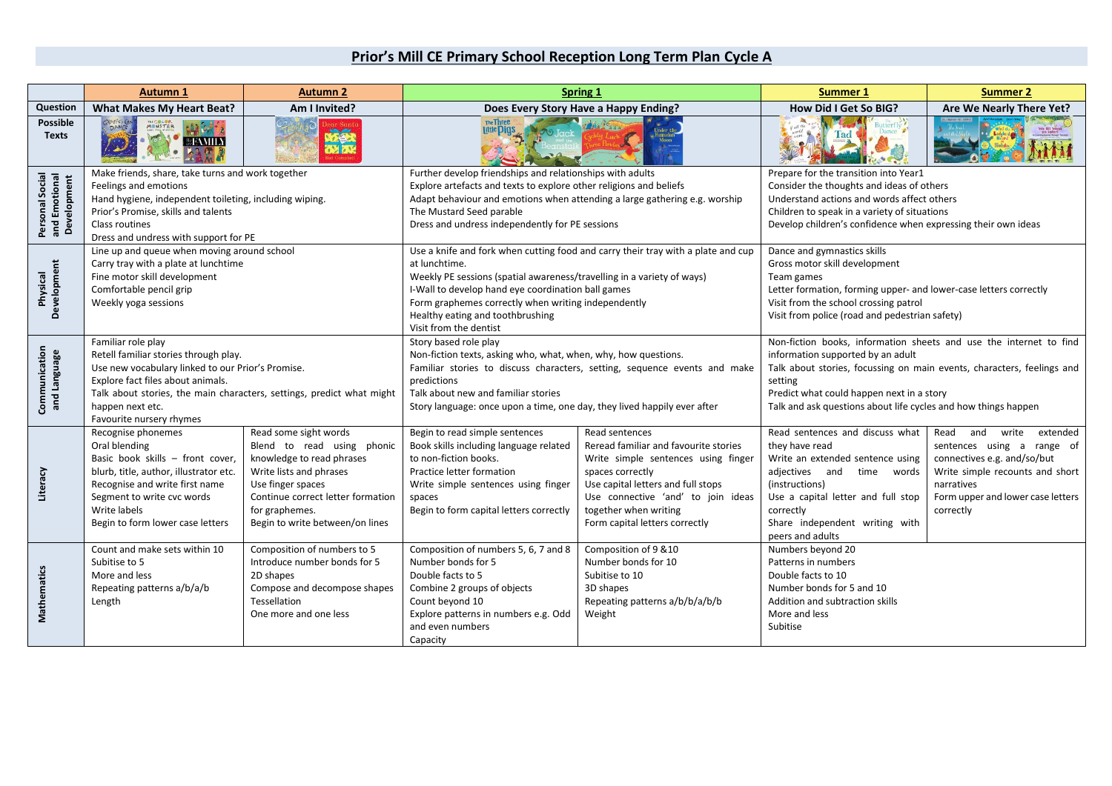## **Prior's Mill CE Primary School Reception Long Term Plan Cycle A**

|                                                        | <b>Autumn 1</b>                                                                                                                                                                                                                                                                | <b>Autumn 2</b>                                                                                                                                                                                                                                                                                                                                                                                       |                                                                                                                                                                                                                                                                                                        | Spring 1                                                                                                                                                                                                                                                  | <b>Summer 1</b>                                                                                                                                                                                                                                                                                             | <b>Summer 2</b>                                                                                                                                                                               |
|--------------------------------------------------------|--------------------------------------------------------------------------------------------------------------------------------------------------------------------------------------------------------------------------------------------------------------------------------|-------------------------------------------------------------------------------------------------------------------------------------------------------------------------------------------------------------------------------------------------------------------------------------------------------------------------------------------------------------------------------------------------------|--------------------------------------------------------------------------------------------------------------------------------------------------------------------------------------------------------------------------------------------------------------------------------------------------------|-----------------------------------------------------------------------------------------------------------------------------------------------------------------------------------------------------------------------------------------------------------|-------------------------------------------------------------------------------------------------------------------------------------------------------------------------------------------------------------------------------------------------------------------------------------------------------------|-----------------------------------------------------------------------------------------------------------------------------------------------------------------------------------------------|
| Question                                               | <b>What Makes My Heart Beat?</b>                                                                                                                                                                                                                                               | Am I Invited?                                                                                                                                                                                                                                                                                                                                                                                         | Does Every Story Have a Happy Ending?                                                                                                                                                                                                                                                                  |                                                                                                                                                                                                                                                           | How Did I Get So BIG?                                                                                                                                                                                                                                                                                       | Are We Nearly There Yet?                                                                                                                                                                      |
| <b>Possible</b><br><b>Texts</b>                        | MONSTER<br><b><i><b></b><u></u> EAMILY</i></b>                                                                                                                                                                                                                                 | a.                                                                                                                                                                                                                                                                                                                                                                                                    | The Three<br>Little <b>Pigs</b>                                                                                                                                                                                                                                                                        |                                                                                                                                                                                                                                                           |                                                                                                                                                                                                                                                                                                             |                                                                                                                                                                                               |
| <b>Personal Social</b><br>and Emotional<br>Development | Make friends, share, take turns and work together<br>Feelings and emotions<br>Hand hygiene, independent toileting, including wiping.<br>Prior's Promise, skills and talents<br>Class routines<br>Dress and undress with support for PE                                         |                                                                                                                                                                                                                                                                                                                                                                                                       | Further develop friendships and relationships with adults<br>Explore artefacts and texts to explore other religions and beliefs<br>Adapt behaviour and emotions when attending a large gathering e.g. worship<br>The Mustard Seed parable<br>Dress and undress independently for PE sessions           |                                                                                                                                                                                                                                                           | Prepare for the transition into Year1<br>Consider the thoughts and ideas of others<br>Understand actions and words affect others<br>Children to speak in a variety of situations<br>Develop children's confidence when expressing their own ideas                                                           |                                                                                                                                                                                               |
| Development<br>Physical                                | Carry tray with a plate at lunchtime<br>Fine motor skill development<br>Comfortable pencil grip<br>Weekly yoga sessions                                                                                                                                                        | Line up and queue when moving around school<br>Use a knife and fork when cutting food and carry their tray with a plate and cup<br>at lunchtime.<br>Weekly PE sessions (spatial awareness/travelling in a variety of ways)<br>I-Wall to develop hand eye coordination ball games<br>Form graphemes correctly when writing independently<br>Healthy eating and toothbrushing<br>Visit from the dentist |                                                                                                                                                                                                                                                                                                        |                                                                                                                                                                                                                                                           | Dance and gymnastics skills<br>Gross motor skill development<br>Team games<br>Letter formation, forming upper- and lower-case letters correctly<br>Visit from the school crossing patrol<br>Visit from police (road and pedestrian safety)                                                                  |                                                                                                                                                                                               |
| Communication<br>and Language                          | Familiar role play<br>Retell familiar stories through play.<br>Use new vocabulary linked to our Prior's Promise.<br>Explore fact files about animals.<br>Talk about stories, the main characters, settings, predict what might<br>happen next etc.<br>Favourite nursery rhymes |                                                                                                                                                                                                                                                                                                                                                                                                       | Story based role play<br>Non-fiction texts, asking who, what, when, why, how questions.<br>Familiar stories to discuss characters, setting, sequence events and make<br>predictions<br>Talk about new and familiar stories<br>Story language: once upon a time, one day, they lived happily ever after |                                                                                                                                                                                                                                                           | Non-fiction books, information sheets and use the internet to find<br>information supported by an adult<br>Talk about stories, focussing on main events, characters, feelings and<br>setting<br>Predict what could happen next in a story<br>Talk and ask questions about life cycles and how things happen |                                                                                                                                                                                               |
| Literacy                                               | Recognise phonemes<br>Oral blending<br>Basic book skills - front cover,<br>blurb, title, author, illustrator etc.<br>Recognise and write first name<br>Segment to write cvc words<br>Write labels<br>Begin to form lower case letters                                          | Read some sight words<br>Blend to read using phonic<br>knowledge to read phrases<br>Write lists and phrases<br>Use finger spaces<br>Continue correct letter formation<br>for graphemes.<br>Begin to write between/on lines                                                                                                                                                                            | Begin to read simple sentences<br>Book skills including language related<br>to non-fiction books.<br>Practice letter formation<br>Write simple sentences using finger<br>spaces<br>Begin to form capital letters correctly                                                                             | Read sentences<br>Reread familiar and favourite stories<br>Write simple sentences using finger<br>spaces correctly<br>Use capital letters and full stops<br>Use connective 'and' to join ideas<br>together when writing<br>Form capital letters correctly | Read sentences and discuss what<br>they have read<br>Write an extended sentence using<br>adjectives and time words<br>(instructions)<br>Use a capital letter and full stop<br>correctly<br>Share independent writing with<br>peers and adults                                                               | Read and<br>write<br>extended<br>sentences using a range of<br>connectives e.g. and/so/but<br>Write simple recounts and short<br>narratives<br>Form upper and lower case letters<br>correctly |
| Mathematics                                            | Count and make sets within 10<br>Subitise to 5<br>More and less<br>Repeating patterns a/b/a/b<br>Length                                                                                                                                                                        | Composition of numbers to 5<br>Introduce number bonds for 5<br>2D shapes<br>Compose and decompose shapes<br>Tessellation<br>One more and one less                                                                                                                                                                                                                                                     | Composition of numbers 5, 6, 7 and 8<br>Number bonds for 5<br>Double facts to 5<br>Combine 2 groups of objects<br>Count beyond 10<br>Explore patterns in numbers e.g. Odd<br>and even numbers<br>Capacity                                                                                              | Composition of 9 &10<br>Number bonds for 10<br>Subitise to 10<br>3D shapes<br>Repeating patterns a/b/b/a/b/b<br>Weight                                                                                                                                    | Numbers beyond 20<br>Patterns in numbers<br>Double facts to 10<br>Number bonds for 5 and 10<br>Addition and subtraction skills<br>More and less<br>Subitise                                                                                                                                                 |                                                                                                                                                                                               |